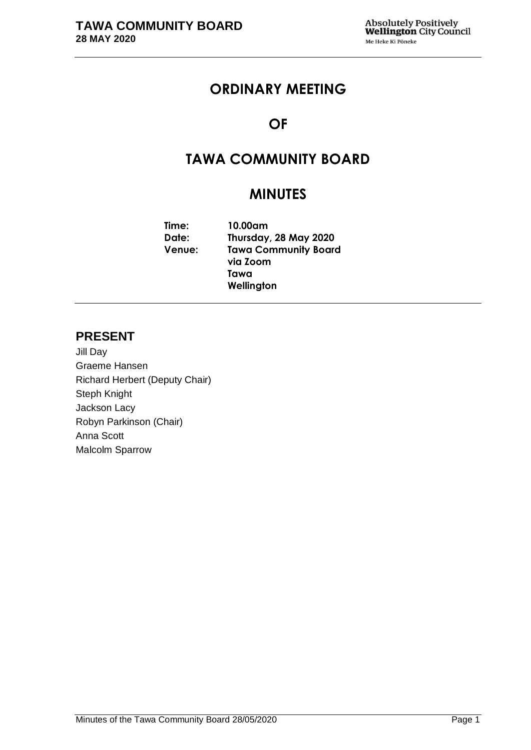# **ORDINARY MEETING**

# **OF**

# **TAWA COMMUNITY BOARD**

# **MINUTES**

**Time: 10.00am Date: Thursday, 28 May 2020 Venue: Tawa Community Board via Zoom Tawa Wellington**

# **PRESENT**

Jill Day Graeme Hansen Richard Herbert (Deputy Chair) Steph Knight Jackson Lacy Robyn Parkinson (Chair) Anna Scott Malcolm Sparrow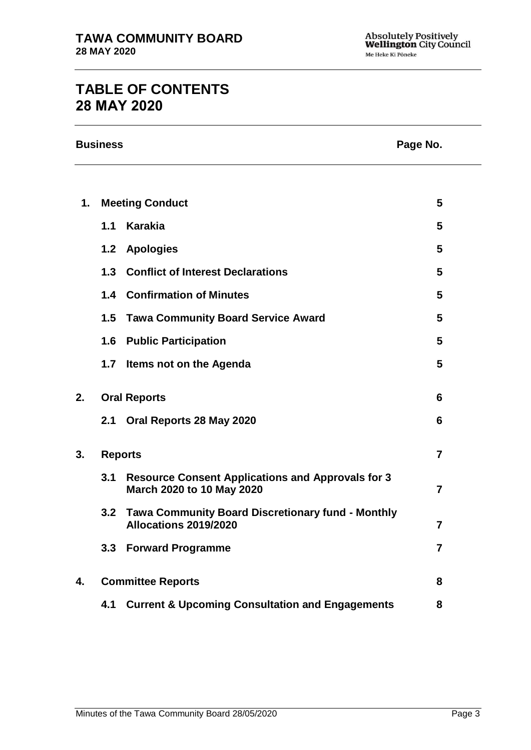# **TABLE OF CONTENTS 28 MAY 2020**

| <b>Business</b><br>Page No. |                          |                                                                                       |                |
|-----------------------------|--------------------------|---------------------------------------------------------------------------------------|----------------|
|                             |                          |                                                                                       |                |
| 1.                          | <b>Meeting Conduct</b>   |                                                                                       | 5              |
|                             | 1.1                      | <b>Karakia</b>                                                                        | 5              |
|                             | 1.2                      | <b>Apologies</b>                                                                      | 5              |
|                             | 1.3                      | <b>Conflict of Interest Declarations</b>                                              | 5              |
|                             | 1.4                      | <b>Confirmation of Minutes</b>                                                        | 5              |
|                             |                          | 1.5 Tawa Community Board Service Award                                                | 5              |
|                             | 1.6                      | <b>Public Participation</b>                                                           | 5              |
|                             | 1.7                      | Items not on the Agenda                                                               | 5              |
| 2.                          |                          | <b>Oral Reports</b>                                                                   | 6              |
|                             | 2.1                      | Oral Reports 28 May 2020                                                              | 6              |
| 3.                          | <b>Reports</b>           |                                                                                       | $\overline{7}$ |
|                             | 3.1                      | <b>Resource Consent Applications and Approvals for 3</b><br>March 2020 to 10 May 2020 | $\overline{7}$ |
|                             | 3.2                      | <b>Tawa Community Board Discretionary fund - Monthly</b><br>Allocations 2019/2020     | 7              |
|                             |                          | 3.3 Forward Programme                                                                 | $\overline{7}$ |
| 4.                          | <b>Committee Reports</b> |                                                                                       | 8              |
|                             | 4.1                      | <b>Current &amp; Upcoming Consultation and Engagements</b>                            | 8              |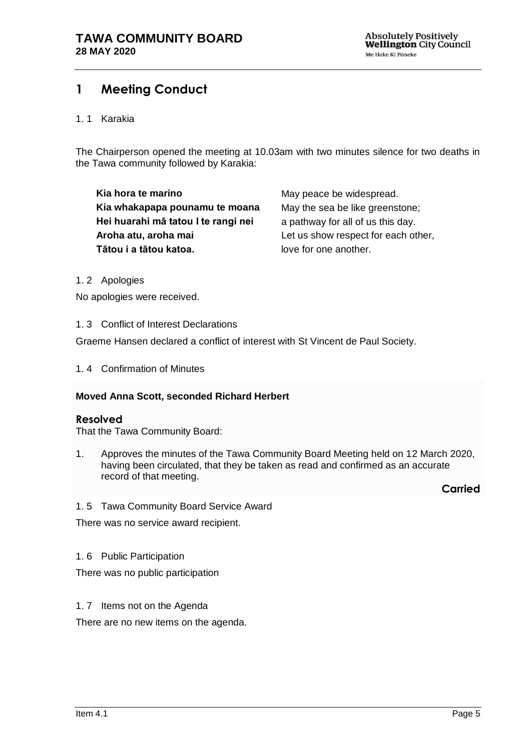# <span id="page-4-0"></span>**1 Meeting Conduct**

#### 1. 1 Karakia

The Chairperson opened the meeting at 10.03am with two minutes silence for two deaths in the Tawa community followed by Karakia:

**Kia hora te marino Kia whakapapa pounamu te moana Hei huarahi mā tatou I te rangi nei Aroha atu, aroha mai Tātou i a tātou katoa.**

May peace be widespread. May the sea be like greenstone; a pathway for all of us this day. Let us show respect for each other, love for one another.

<span id="page-4-1"></span>1. 2 Apologies

No apologies were received.

<span id="page-4-2"></span>1. 3 Conflict of Interest Declarations

Graeme Hansen declared a conflict of interest with St Vincent de Paul Society.

<span id="page-4-3"></span>1. 4 Confirmation of Minutes

## **Moved Anna Scott, seconded Richard Herbert**

#### **Resolved**

That the Tawa Community Board:

1. Approves the minutes of the Tawa Community Board Meeting held on 12 March 2020, having been circulated, that they be taken as read and confirmed as an accurate record of that meeting.

**Carried**

<span id="page-4-4"></span>1. 5 Tawa Community Board Service Award

There was no service award recipient.

<span id="page-4-5"></span>1. 6 Public Participation

There was no public participation

<span id="page-4-6"></span>1. 7 Items not on the Agenda

There are no new items on the agenda.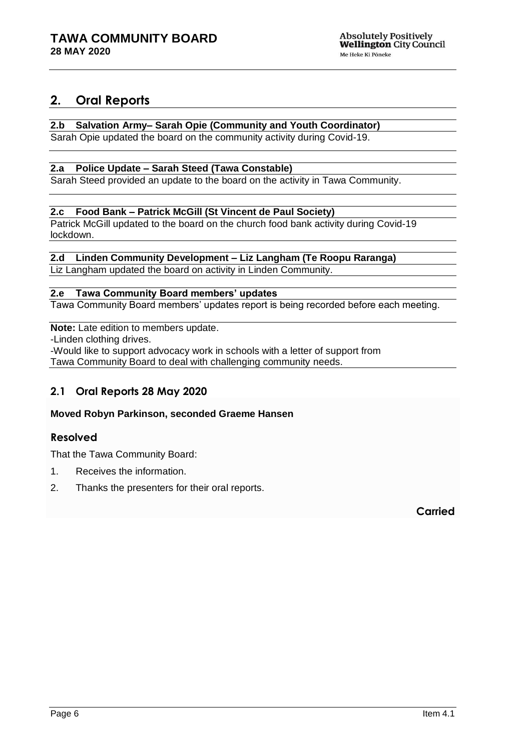# <span id="page-5-0"></span>**2. Oral Reports**

# **2.b Salvation Army– Sarah Opie (Community and Youth Coordinator)**

Sarah Opie updated the board on the community activity during Covid-19.

## **2.a Police Update – Sarah Steed (Tawa Constable)**

Sarah Steed provided an update to the board on the activity in Tawa Community.

#### **2.c Food Bank – Patrick McGill (St Vincent de Paul Society)**

Patrick McGill updated to the board on the church food bank activity during Covid-19 lockdown.

#### **2.d Linden Community Development – Liz Langham (Te Roopu Raranga)**

Liz Langham updated the board on activity in Linden Community.

## **2.e Tawa Community Board members' updates**

Tawa Community Board members' updates report is being recorded before each meeting.

#### **Note:** Late edition to members update.

-Linden clothing drives.

-Would like to support advocacy work in schools with a letter of support from Tawa Community Board to deal with challenging community needs.

# <span id="page-5-1"></span>**2.1 Oral Reports 28 May 2020**

## **Moved Robyn Parkinson, seconded Graeme Hansen**

## **Resolved**

That the Tawa Community Board:

- 1. Receives the information.
- 2. Thanks the presenters for their oral reports.

**Carried**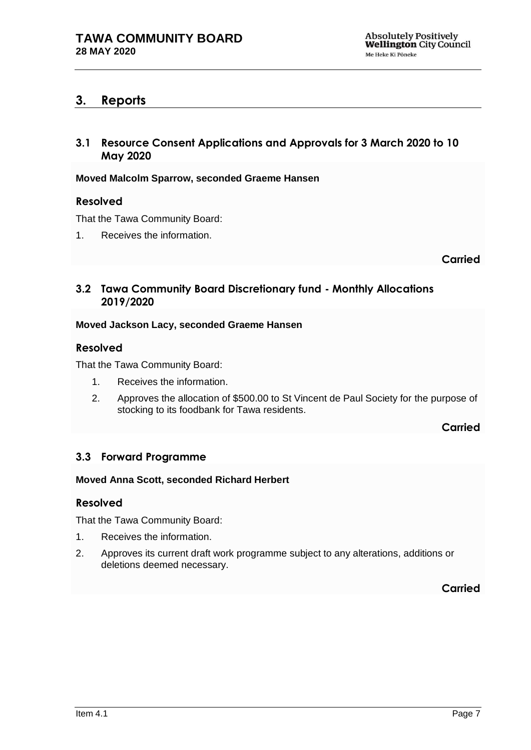# <span id="page-6-0"></span>**3. Reports**

# <span id="page-6-1"></span>**3.1 Resource Consent Applications and Approvals for 3 March 2020 to 10 May 2020**

**Moved Malcolm Sparrow, seconded Graeme Hansen**

## **Resolved**

That the Tawa Community Board:

1. Receives the information.

**Carried**

# <span id="page-6-2"></span>**3.2 Tawa Community Board Discretionary fund - Monthly Allocations 2019/2020**

## **Moved Jackson Lacy, seconded Graeme Hansen**

## **Resolved**

That the Tawa Community Board:

- 1. Receives the information.
- 2. Approves the allocation of \$500.00 to St Vincent de Paul Society for the purpose of stocking to its foodbank for Tawa residents.

**Carried**

# <span id="page-6-3"></span>**3.3 Forward Programme**

## **Moved Anna Scott, seconded Richard Herbert**

## **Resolved**

That the Tawa Community Board:

- 1. Receives the information.
- <span id="page-6-4"></span>2. Approves its current draft work programme subject to any alterations, additions or deletions deemed necessary.

**Carried**